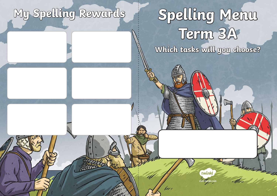# **My Spelling Rewards**

# **Spelling Menu Term 3A Which tasks will you choose?**

**visit twinkl.com**

twinkl

 $z_{\mathscr{A}}$